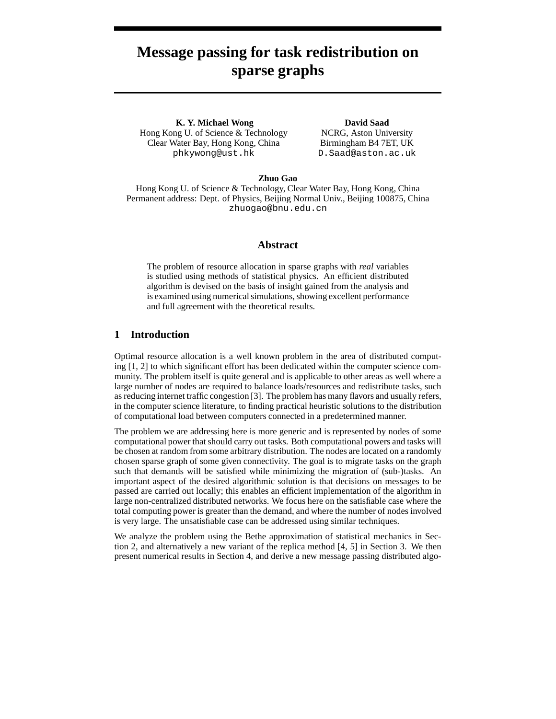# **Message passing for task redistribution on sparse graphs**

**K. Y. Michael Wong** Hong Kong U. of Science & Technology Clear Water Bay, Hong Kong, China phkywong@ust.hk

**David Saad**

NCRG, Aston University Birmingham B4 7ET, UK D.Saad@aston.ac.uk

### **Zhuo Gao**

Hong Kong U. of Science & Technology, Clear Water Bay, Hong Kong, China Permanent address: Dept. of Physics, Beijing Normal Univ., Beijing 100875, China zhuogao@bnu.edu.cn

## **Abstract**

The problem of resource allocation in sparse graphs with *real* variables is studied using methods of statistical physics. An efficient distributed algorithm is devised on the basis of insight gained from the analysis and is examined using numerical simulations, showing excellent performance and full agreement with the theoretical results.

## **1 Introduction**

Optimal resource allocation is a well known problem in the area of distributed computing [1, 2] to which significant effort has been dedicated within the computer science community. The problem itself is quite general and is applicable to other areas as well where a large number of nodes are required to balance loads/resources and redistribute tasks, such as reducing internet traffic congestion [3]. The problem has many flavors and usually refers, in the computer science literature, to finding practical heuristic solutions to the distribution of computational load between computers connected in a predetermined manner.

The problem we are addressing here is more generic and is represented by nodes of some computational power that should carry out tasks. Both computational powers and tasks will be chosen at random from some arbitrary distribution. The nodes are located on a randomly chosen sparse graph of some given connectivity. The goal is to migrate tasks on the graph such that demands will be satisfied while minimizing the migration of (sub-)tasks. An important aspect of the desired algorithmic solution is that decisions on messages to be passed are carried out locally; this enables an efficient implementation of the algorithm in large non-centralized distributed networks. We focus here on the satisfiable case where the total computing power is greater than the demand, and where the number of nodes involved is very large. The unsatisfiable case can be addressed using similar techniques.

We analyze the problem using the Bethe approximation of statistical mechanics in Section 2, and alternatively a new variant of the replica method [4, 5] in Section 3. We then present numerical results in Section 4, and derive a new message passing distributed algo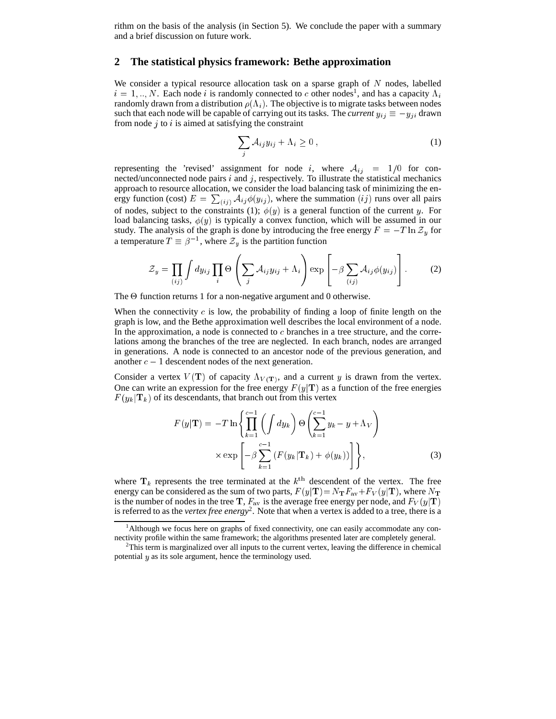rithm on the basis of the analysis (in Section 5). We conclude the paper with a summary and a brief discussion on future work.

### **2 The statistical physics framework: Bethe approximation**

We consider a typical resource allocation task on a sparse graph of  $N$  nodes, labelled  $i = 1,..,N$ . Each node i is randomly connected to c other nodes<sup>1</sup>, and has a capacity  $\Lambda_i$ randomly drawn from a distribution  $\rho(\Lambda_i)$ . The objective is to migrate tasks between nodes such that each node will be capable of carrying out its tasks. The *current*  $y_{ij} \equiv -y_{ji}$  drawn from node  $j$  to  $i$  is aimed at satisfying the constraint

$$
\sum_{j} \mathcal{A}_{ij} y_{ij} + \Lambda_i \ge 0 , \qquad (1)
$$

representing the 'revised' assignment for node i, where  $A_{ij} = 1/0$  for connected/unconnected node pairs  $i$  and  $j$ , respectively. To illustrate the statistical mechanics approach to resource allocation, we consider the load balancing task of minimizing the energy function (cost)  $E = \sum_{(ij)} A_{ij} \phi(y_{ij})$ , where the summation  $(ij)$  runs over all pairs of nodes, subject to the constraints (1);  $\phi(y)$  is a general function of the current y. For load balancing tasks,  $\phi(y)$  is typically a convex function, which will be assumed in our study. The analysis of the graph is done by introducing the free energy  $F = -T \ln Z_y$  for a temperature  $T \equiv \beta^{-1}$ , where  $\mathcal{Z}_y$  is the partition function

$$
\mathcal{Z}_y = \prod_{(ij)} \int dy_{ij} \prod_i \Theta \left( \sum_j \mathcal{A}_{ij} y_{ij} + \Lambda_i \right) \exp \left[ -\beta \sum_{(ij)} \mathcal{A}_{ij} \phi(y_{ij}) \right].
$$
 (2)

 $\sim$ 

<sup>2</sup>

- 1

The  $\Theta$  function returns 1 for a non-negative argument and 0 otherwise.

 $\overline{\phantom{a}}$ 

When the connectivity  $c$  is low, the probability of finding a loop of finite length on the graph is low, and the Bethe approximation well describes the local environment of a node. In the approximation, a node is connected to  $c$  branches in a tree structure, and the correlations among the branches of the tree are neglected. In each branch, nodes are arranged in generations. A node is connected to an ancestor node of the previous generation, and another  $c - 1$  descendent nodes of the next generation.

Consider a vertex  $V(T)$  of capacity  $\Lambda_{V(T)}$ , and a current y is drawn from the vertex. One can write an expression for the free energy  $F(y|\mathbf{T})$  as a function of the free energies  $F(y_k|\mathbf{T}_k)$  of its descendants, that branch out from this vertex

$$
F(y|\mathbf{T}) = -T \ln \left\{ \prod_{k=1}^{c-1} \left( \int dy_k \right) \Theta \left( \sum_{k=1}^{c-1} y_k - y + \Lambda_V \right) \times \exp \left[ -\beta \sum_{k=1}^{c-1} \left( F(y_k|\mathbf{T}_k) + \phi(y_k) \right) \right] \right\},\tag{3}
$$

where  $\mathbf{T}_k$  represents the tree terminated at the  $k^{\text{th}}$  descendent of the vertex. The free energy can be considered as the sum of two parts,  $F(y|\mathbf{T})=N_{\mathbf{T}}F_{\text{av}}+F_V(y|\mathbf{T})$ , where  $N_{\mathbf{T}}$ is the number of nodes in the tree T,  $F_{av}$  is the average free energy per node, and  $F_V(y|T)$ is referred to as the *vertex free energy*<sup>2</sup> . Note that when a vertex is added to a tree, there is a

<sup>&</sup>lt;sup>1</sup>Although we focus here on graphs of fixed connectivity, one can easily accommodate any connectivity profile within the same framework; the algorithms presented later are completely general.

 $2<sup>2</sup>$ This term is marginalized over all inputs to the current vertex, leaving the difference in chemical potential <sup>y</sup> as its sole argument, hence the terminology used.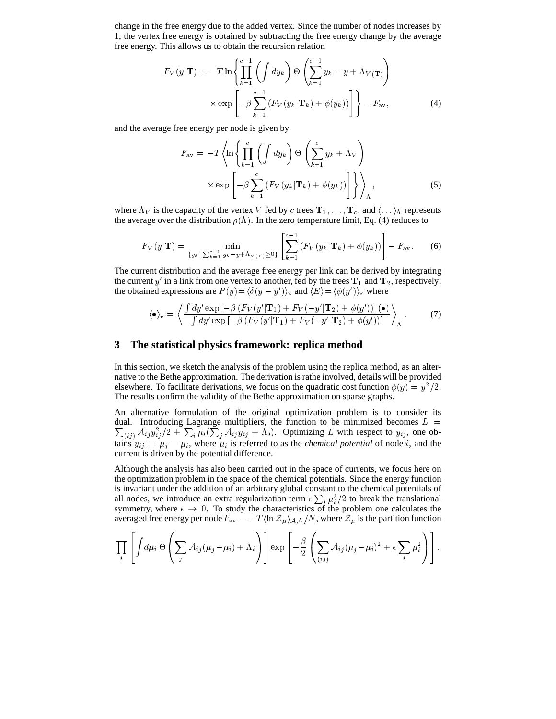change in the free energy due to the added vertex. Since the number of nodes increases by 1, the vertex free energy is obtained by subtracting the free energy change by the average free energy. This allows us to obtain the recursion relation

$$
F_V(y|\mathbf{T}) = -T \ln \left\{ \prod_{k=1}^{c-1} \left( \int dy_k \right) \Theta \left( \sum_{k=1}^{c-1} y_k - y + \Lambda_{V(\mathbf{T})} \right) \times \exp \left[ -\beta \sum_{k=1}^{c-1} \left( F_V(y_k|\mathbf{T}_k) + \phi(y_k) \right) \right] \right\} - F_{\text{av}}, \tag{4}
$$

and the average free energy per node is given by

$$
F_{\rm av} = -T \left\langle \ln \left\{ \prod_{k=1}^{c} \left( \int dy_k \right) \Theta \left( \sum_{k=1}^{c} y_k + \Lambda_V \right) \right. \right. \times \exp \left[ -\beta \sum_{k=1}^{c} \left( F_V(y_k | \mathbf{T}_k) + \phi(y_k) \right) \right] \right\} \right\rangle_{\Lambda}, \tag{5}
$$

where  $\Lambda_V$  is the capacity of the vertex V fed by c trees  $\mathbf{T}_1, \ldots, \mathbf{T}_c$ , and  $\langle \ldots \rangle_{\Lambda}$  represents the average over the distribution  $\rho(\Lambda)$ . In the zero temperature limit, Eq. (4) reduces to

$$
F_V(y|\mathbf{T}) = \min_{\{y_k \mid \sum_{k=1}^{c-1} y_k - y + \Lambda_{V(\mathbf{T})} \ge 0\}} \left[ \sum_{k=1}^{c-1} \left( F_V(y_k|\mathbf{T}_k) + \phi(y_k) \right) \right] - F_{\text{av}}.
$$
 (6)

The current distribution and the average free energy per link can be derived by integrating the current y' in a link from one vertex to another, fed by the trees  $T_1$  and  $T_2$ , respectively; the obtained expressions are  $P(y) = \langle \delta(y - y') \rangle_{\star}$  and  $\langle E \rangle = \langle \phi(y') \rangle_{\star}$  where

$$
\langle \bullet \rangle_{\star} = \left\langle \frac{\int dy' \exp\left[-\beta \left(F_V(y'|\mathbf{T}_1) + F_V(-y'|\mathbf{T}_2) + \phi(y')\right)\right](\bullet)}{\int dy' \exp\left[-\beta \left(F_V(y'|\mathbf{T}_1) + F_V(-y'|\mathbf{T}_2) + \phi(y')\right)\right]}\right\rangle_{\Lambda}.
$$
 (7)

## **3 The statistical physics framework: replica method**

<sup>2</sup>

 $\overline{\phantom{a}}$ 

In this section, we sketch the analysis of the problem using the replica method, as an alternative to the Bethe approximation. The derivation is rathe involved, details will be provided elsewhere. To facilitate derivations, we focus on the quadratic cost function  $\phi(y) = y^2/2$ . The results confirm the validity of the Bethe approximation on sparse graphs.

An alternative formulation of the original optimization problem is to consider its dual. Introducing Lagrange multipliers, the function to be minimized becomes  $L =$  $\sum_{(i,j)}$   $A_{ij}y_{ij}^2/2 + \sum_i \mu_i(\sum_j A_{ij}y_{ij} + \Lambda_i)$ . Optimizing L with respect to  $y_{ij}$ , one obtains  $y_{ij} = \mu_j - \mu_i$ , where  $\mu_i$  is referred to as the *chemical potential* of node i, and the current is driven by the potential difference.

Although the analysis has also been carried out in the space of currents, we focus here on the optimization problem in the space of the chemical potentials. Since the energy function is invariant under the addition of an arbitrary global constant to the chemical potentials of all nodes, we introduce an extra regularization term  $\epsilon \sum_i \mu_i^2/2$  to break the translational symmetry, where  $\epsilon \to 0$ . To study the characteristics of the problem one calculates the averaged free energy per node  $F_{\text{av}}=-T\langle\ln\mathcal{Z}_\mu\rangle_{\mathcal{A},\Lambda}/N$ , where  $\mathcal{Z}_\mu$  is the partition function

$$
\prod_i \left[ \int d\mu_i \Theta \left( \sum_j \mathcal{A}_{ij} (\mu_j - \mu_i) + \Lambda_i \right) \right] \exp \left[ -\frac{\beta}{2} \left( \sum_{(ij)} \mathcal{A}_{ij} (\mu_j - \mu_i)^2 + \epsilon \sum_i \mu_i^2 \right) \right]
$$

<sup>2</sup>

<sup>0</sup>

 $\mathbf{I}$ 

- 1

 $\cdot$   $\cdot$   $\cdot$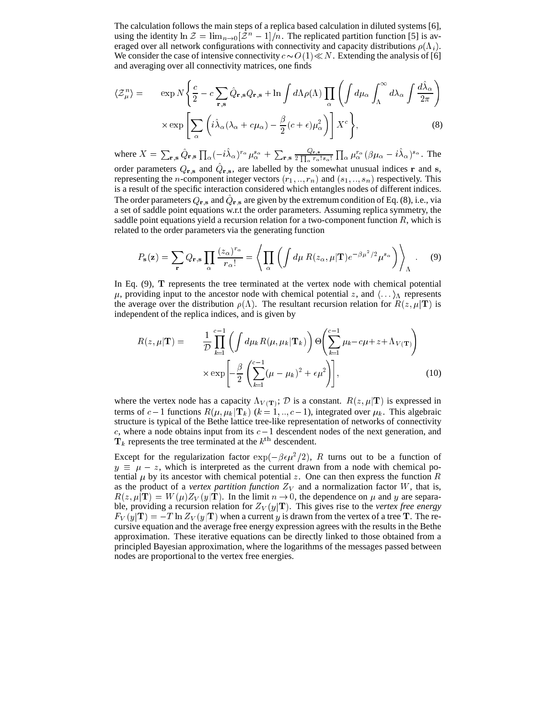The calculation follows the main steps of a replica based calculation in diluted systems [6], using the identity  $\ln \mathcal{Z} = \lim_{n\to 0}[\mathcal{Z}^n-1]/n$ . The replicated partition function [5] is averaged over all network configurations with connectivity and capacity distributions  $\rho(\Lambda_i)$ . We consider the case of intensive connectivity  $c \sim O(1) \ll N$ . Extending the analysis of [6] and averaging over all connectivity matrices, one finds

 $\overline{\phantom{a}}$ 

$$
\langle \mathcal{Z}_{\mu}^{n} \rangle = \exp N \left\{ \frac{c}{2} - c \sum_{\mathbf{r}, \mathbf{s}} \hat{Q}_{\mathbf{r}, \mathbf{s}} Q_{\mathbf{r}, \mathbf{s}} + \ln \int d\Lambda \rho(\Lambda) \prod_{\alpha} \left( \int d\mu_{\alpha} \int_{\Lambda}^{\infty} d\lambda_{\alpha} \int \frac{d\hat{\lambda}_{\alpha}}{2\pi} \right) \times \exp \left[ \sum_{\alpha} \left( i \hat{\lambda}_{\alpha} (\lambda_{\alpha} + c \mu_{\alpha}) - \frac{\beta}{2} (c + \epsilon) \mu_{\alpha}^{2} \right) \right] X^{c} \right\},
$$
(8)

 $\sim$ 

where  $X = \sum_{\mathbf{r},\mathbf{s}} Q_{\mathbf{r},\mathbf{s}}$  $\prod_\alpha (-i\lambda_\alpha)^{r_\alpha} \mu_\alpha^{s_\alpha} + \sum_{{\bf r},{\bf s}} \frac{\omega_{{\bf r},{\bf s}}}{2 \prod_\alpha r_\alpha! s_\alpha!}$  $\prod_{\alpha} \mu_{\alpha}^{r_{\alpha}} (\beta \mu_{\alpha} - i \lambda_{\alpha})^{s_{\alpha}}$ . The order parameters  $Q_{r,s}$  and  $\dot{Q}_{r,s}$ , are labelled by the somewhat unusual indices r and s, representing the *n*-component integer vectors  $(r_1, ..., r_n)$  and  $(s_1, ..., s_n)$  respectively. This is a result of the specific interaction considered which entangles nodes of different indices. The order parameters  $Q_{r,s}$  and  $Q_{r,s}$  are given by the extremum condition of Eq. (8), i.e., via a set of saddle point equations w.r.t the order parameters. Assuming replica symmetry, the saddle point equations yield a recursion relation for a two-component function  $R$ , which is related to the order parameters via the generating function

$$
P_{\mathbf{s}}(\mathbf{z}) = \sum_{\mathbf{r}} Q_{\mathbf{r},\mathbf{s}} \prod_{\alpha} \frac{(z_{\alpha})^{r_{\alpha}}}{r_{\alpha}!} = \left\langle \prod_{\alpha} \left( \int d\mu \, R(z_{\alpha}, \mu | \mathbf{T}) e^{-\beta \mu^{2}/2} \mu^{s_{\alpha}} \right) \right\rangle_{\Lambda} . \tag{9}
$$

In Eq. (9), T represents the tree terminated at the vertex node with chemical potential  $\mu$ , providing input to the ancestor node with chemical potential z, and  $\langle \ldots \rangle$  represents the average over the distribution  $\rho(\Lambda)$ . The resultant recursion relation for  $R(z, \mu|\mathbf{T})$  is independent of the replica indices, and is given by

$$
R(z, \mu|\mathbf{T}) = \frac{1}{\mathcal{D}} \prod_{k=1}^{c-1} \left( \int d\mu_k R(\mu, \mu_k|\mathbf{T}_k) \right) \Theta \left( \sum_{k=1}^{c-1} \mu_k - c\mu + z + \Lambda_{V(\mathbf{T})} \right)
$$

$$
\times \exp \left[ -\frac{\beta}{2} \left( \sum_{k=1}^{c-1} (\mu - \mu_k)^2 + \epsilon \mu^2 \right) \right],
$$
(10)

where the vertex node has a capacity  $\Lambda_{V(\mathbf{T})}$ ;  $\mathcal{D}$  is a constant.  $R(z, \mu|\mathbf{T})$  is expressed in terms of  $c-1$  functions  $R(\mu, \mu_k | \mathbf{T}_k)$   $(k = 1, ..., c-1)$ , integrated over  $\mu_k$ . This algebraic structure is typical of the Bethe lattice tree-like representation of networks of connectivity  $c$ , where a node obtains input from its  $c-1$  descendent nodes of the next generation, and  $T_k$  represents the tree terminated at the  $k^{\text{th}}$  descendent.

Except for the regularization factor  $\exp(-\beta \epsilon \mu^2/2)$ , R turns out to be a function of  $y \equiv \mu - z$ , which is interpreted as the current drawn from a node with chemical potential  $\mu$  by its ancestor with chemical potential z. One can then express the function R as the product of a *vertex partition function*  $Z_V$  and a normalization factor W, that is,  $R(z, \mu|\mathbf{T}) = W(\mu)Z_V(y|\mathbf{T})$ . In the limit  $n \to 0$ , the dependence on  $\mu$  and y are separable, providing a recursion relation for  $Z_V(y|\mathbf{T})$ . This gives rise to the *vertex free energy*  $F_V(y|\mathbf{T}) = -T \ln Z_V(y|\mathbf{T})$  when a current y is drawn from the vertex of a tree T. The recursive equation and the average free energy expression agrees with the results in the Bethe approximation. These iterative equations can be directly linked to those obtained from a principled Bayesian approximation, where the logarithms of the messages passed between nodes are proportional to the vertex free energies.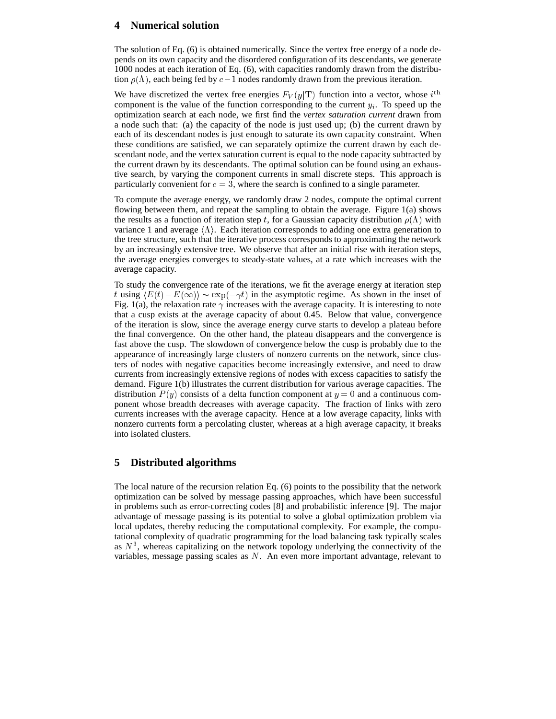# **4 Numerical solution**

The solution of Eq. (6) is obtained numerically. Since the vertex free energy of a node depends on its own capacity and the disordered configuration of its descendants, we generate 1000 nodes at each iteration of Eq. (6), with capacities randomly drawn from the distribution  $\rho(\Lambda)$ , each being fed by  $c-1$  nodes randomly drawn from the previous iteration.

We have discretized the vertex free energies  $F_V(y|\textbf{T})$  function into a vector, whose  $i^{\text{th}}$ component is the value of the function corresponding to the current  $y_i$ . To speed up the optimization search at each node, we first find the *vertex saturation current* drawn from a node such that: (a) the capacity of the node is just used up; (b) the current drawn by each of its descendant nodes is just enough to saturate its own capacity constraint. When these conditions are satisfied, we can separately optimize the current drawn by each descendant node, and the vertex saturation current is equal to the node capacity subtracted by the current drawn by its descendants. The optimal solution can be found using an exhaustive search, by varying the component currents in small discrete steps. This approach is particularly convenient for  $c = 3$ , where the search is confined to a single parameter.

To compute the average energy, we randomly draw 2 nodes, compute the optimal current flowing between them, and repeat the sampling to obtain the average. Figure 1(a) shows the results as a function of iteration step t, for a Gaussian capacity distribution  $\rho(\Lambda)$  with variance 1 and average  $\langle \Lambda \rangle$ . Each iteration corresponds to adding one extra generation to the tree structure, such that the iterative process corresponds to approximating the network by an increasingly extensive tree. We observe that after an initial rise with iteration steps, the average energies converges to steady-state values, at a rate which increases with the average capacity.

To study the convergence rate of the iterations, we fit the average energy at iteration step t using  $\langle E(t)-E(\infty)\rangle \sim \exp(-\gamma t)$  in the asymptotic regime. As shown in the inset of Fig. 1(a), the relaxation rate  $\gamma$  increases with the average capacity. It is interesting to note that a cusp exists at the average capacity of about 0.45. Below that value, convergence of the iteration is slow, since the average energy curve starts to develop a plateau before the final convergence. On the other hand, the plateau disappears and the convergence is fast above the cusp. The slowdown of convergence below the cusp is probably due to the appearance of increasingly large clusters of nonzero currents on the network, since clusters of nodes with negative capacities become increasingly extensive, and need to draw currents from increasingly extensive regions of nodes with excess capacities to satisfy the demand. Figure 1(b) illustrates the current distribution for various average capacities. The distribution  $P(y)$  consists of a delta function component at  $y = 0$  and a continuous component whose breadth decreases with average capacity. The fraction of links with zero currents increases with the average capacity. Hence at a low average capacity, links with nonzero currents form a percolating cluster, whereas at a high average capacity, it breaks into isolated clusters.

# **5 Distributed algorithms**

The local nature of the recursion relation Eq. (6) points to the possibility that the network optimization can be solved by message passing approaches, which have been successful in problems such as error-correcting codes [8] and probabilistic inference [9]. The major advantage of message passing is its potential to solve a global optimization problem via local updates, thereby reducing the computational complexity. For example, the computational complexity of quadratic programming for the load balancing task typically scales as  $N<sup>3</sup>$ , whereas capitalizing on the network topology underlying the connectivity of the variables, message passing scales as <sup>N</sup>. An even more important advantage, relevant to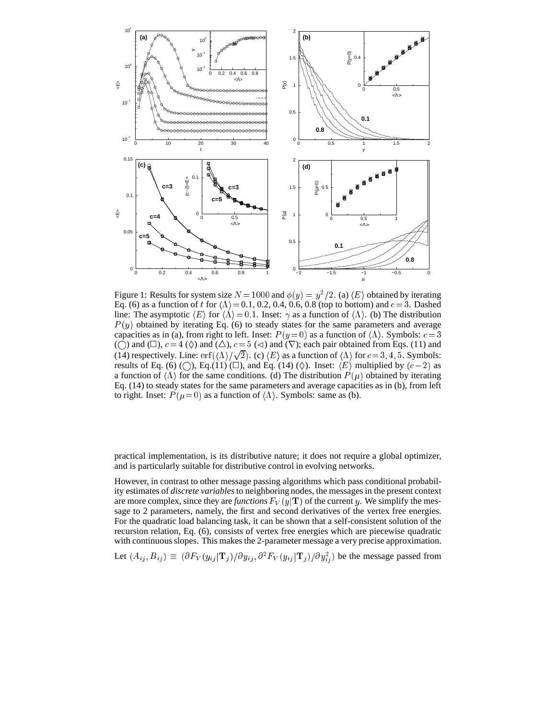

Figure 1: Results for system size  $N = 1000$  and  $\phi(y) = y^2/2$ . (a)  $\langle E \rangle$  obtained by iterating Eq. (6) as a function of t for  $\langle \Lambda \rangle = 0.1, 0.2, 0.4, 0.6, 0.8$  (top to bottom) and  $c = 3$ . Dashed line: The asymptotic  $\langle E \rangle$  for  $\langle \Lambda \rangle = 0.1$ . Inset:  $\gamma$  as a function of  $\langle \Lambda \rangle$ . (b) The distribution  $P(y)$  obtained by iterating Eq. (6) to steady states for the same parameters and average capacities as in (a), from right to left. Inset:  $P(y=0)$  as a function of  $\langle \Lambda \rangle$ . Symbols:  $c=3$ (C) and ( $\Box$ ),  $c = 4$  ( $\Diamond$ ) and ( $\triangle$ ),  $c = 5$  ( $\triangleleft$ ) and ( $\nabla$ ); each pair obtained from Eqs. (11) and (14) respectively. Line: erf  $(\langle \Lambda \rangle / \sqrt{2})$ . (c)  $\langle E \rangle$  as a function of  $\langle \Lambda \rangle$  for  $c = 3, 4, 5$ . Symbols: results of Eq. (6) (()), Eq.(11) ( $\square$ ), and Eq. (14) ( $\diamond$ ). Inset:  $\langle E \rangle$  multiplied by  $(c-2)$  as a function of  $\langle \Lambda \rangle$  for the same conditions. (d) The distribution  $P(\mu)$  obtained by iterating Eq. (14) to steady states for the same parameters and average capacities as in (b), from left to right. Inset:  $P(\mu=0)$  as a function of  $\langle \Lambda \rangle$ . Symbols: same as (b).

practical implementation, is its distributive nature; it does not require a global optimizer, and is particularly suitable for distributive control in evolving networks.

However, in contrast to other message passing algorithms which pass conditional probability estimates of *discrete variables*to neighboring nodes, the messages in the present context are more complex, since they are *functions*  $F_V(y|\mathbf{T})$  of the current y. We simplify the message to 2 parameters, namely, the first and second derivatives of the vertex free energies. For the quadratic load balancing task, it can be shown that a self-consistent solution of the recursion relation, Eq. (6), consists of vertex free energies which are piecewise quadratic with continuous slopes. This makes the 2-parameter message a very precise approximation.

Let  $(A_{ij}, B_{ij}) \equiv (\partial F_V(y_{ij} | \mathbf{T}_j) / \partial y_{ij}, \partial^2 F_V(y_{ij} | \mathbf{T}_j) / \partial y_{ij}^2)$  be the message passed from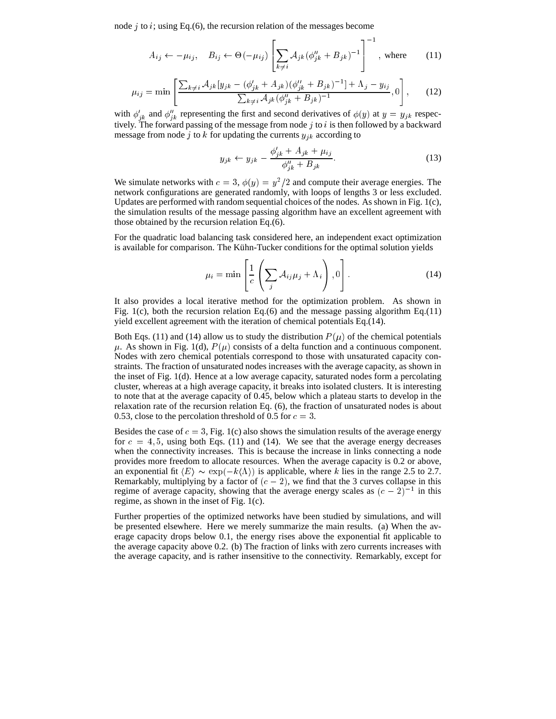node j to i; using Eq.(6), the recursion relation of the messages become

$$
A_{ij} \leftarrow -\mu_{ij}, \quad B_{ij} \leftarrow \Theta(-\mu_{ij}) \left[ \sum_{k \neq i} A_{jk} (\phi_{jk}'' + B_{jk})^{-1} \right] \quad , \text{ where } \quad (11)
$$

$$
\mu_{ij} = \min \left[ \frac{\sum_{k \neq i} \mathcal{A}_{jk} \left[ y_{jk} - (\phi'_{jk} + A_{jk})(\phi''_{jk} + B_{jk})^{-1} \right] + \Lambda_j - y_{ij}}{\sum_{k \neq i} \mathcal{A}_{jk} (\phi''_{jk} + B_{jk})^{-1}}, 0 \right], \quad (12)
$$

with  $\phi'_{ik}$  and  $\phi''_{ik}$  representing the first and second derivatives of  $\phi(y)$  at  $y = y_{jk}$  respectively. The forward passing of the message from node  $j$  to  $i$  is then followed by a backward message from node j to k for updating the currents  $y_{jk}$  according to

<sup>2</sup>

$$
y_{jk} \leftarrow y_{jk} - \frac{\phi'_{jk} + A_{jk} + \mu_{ij}}{\phi''_{jk} + B_{jk}}.
$$
\n(13)

 $-1$ 

We simulate networks with  $c = 3$ ,  $\phi(y) = y^2/2$  and compute their average energies. The network configurations are generated randomly, with loops of lengths 3 or less excluded. Updates are performed with random sequential choices of the nodes. As shown in Fig.  $1(c)$ , the simulation results of the message passing algorithm have an excellent agreement with those obtained by the recursion relation Eq.(6).

For the quadratic load balancing task considered here, an independent exact optimization is available for comparison. The Kühn-Tucker conditions for the optimal solution yields

$$
\mu_i = \min\left[\frac{1}{c}\left(\sum_j \mathcal{A}_{ij}\mu_j + \Lambda_i\right), 0\right].
$$
 (14)

It also provides a local iterative method for the optimization problem. As shown in Fig. 1(c), both the recursion relation Eq.(6) and the message passing algorithm Eq.(11) yield excellent agreement with the iteration of chemical potentials Eq.(14).

Both Eqs. (11) and (14) allow us to study the distribution  $P(\mu)$  of the chemical potentials  $\mu$ . As shown in Fig. 1(d),  $P(\mu)$  consists of a delta function and a continuous component. Nodes with zero chemical potentials correspond to those with unsaturated capacity constraints. The fraction of unsaturated nodes increases with the average capacity, as shown in the inset of Fig. 1(d). Hence at a low average capacity, saturated nodes form a percolating cluster, whereas at a high average capacity, it breaks into isolated clusters. It is interesting to note that at the average capacity of 0.45, below which a plateau starts to develop in the relaxation rate of the recursion relation Eq. (6), the fraction of unsaturated nodes is about 0.53, close to the percolation threshold of 0.5 for  $c = 3$ .

Besides the case of  $c = 3$ , Fig. 1(c) also shows the simulation results of the average energy for  $c = 4, 5$ , using both Eqs. (11) and (14). We see that the average energy decreases when the connectivity increases. This is because the increase in links connecting a node provides more freedom to allocate resources. When the average capacity is 0.2 or above, an exponential fit  $\langle E \rangle \sim \exp(-k \langle \Lambda \rangle)$  is applicable, where k lies in the range 2.5 to 2.7. Remarkably, multiplying by a factor of  $(c - 2)$ , we find that the 3 curves collapse in this regime of average capacity, showing that the average energy scales as  $(c-2)^{-1}$  in this regime, as shown in the inset of Fig. 1(c).

Further properties of the optimized networks have been studied by simulations, and will be presented elsewhere. Here we merely summarize the main results. (a) When the average capacity drops below 0.1, the energy rises above the exponential fit applicable to the average capacity above 0.2. (b) The fraction of links with zero currents increases with the average capacity, and is rather insensitive to the connectivity. Remarkably, except for